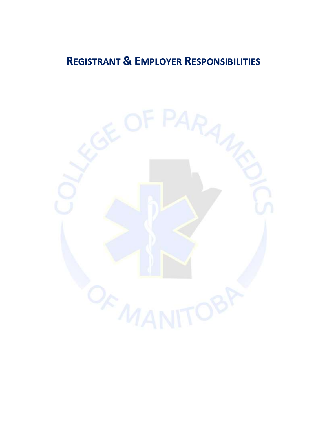# **REGISTRANT & EMPLOYER RESPONSIBILITIES**

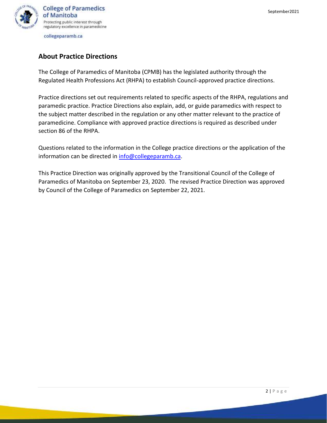

# **About Practice Directions**

The College of Paramedics of Manitoba (CPMB) has the legislated authority through the Regulated Health Professions Act (RHPA) to establish Council-approved practice directions.

Practice directions set out requirements related to specific aspects of the RHPA, regulations and paramedic practice. Practice Directions also explain, add, or guide paramedics with respect to the subject matter described in the regulation or any other matter relevant to the practice of paramedicine. Compliance with approved practice directions is required as described under section 86 of the RHPA.

Questions related to the information in the College practice directions or the application of the information can be directed in [info@collegeparamb.ca.](mailto:info@collegeparamb.ca)

This Practice Direction was originally approved by the Transitional Council of the College of Paramedics of Manitoba on September 23, 2020. The revised Practice Direction was approved by Council of the College of Paramedics on September 22, 2021.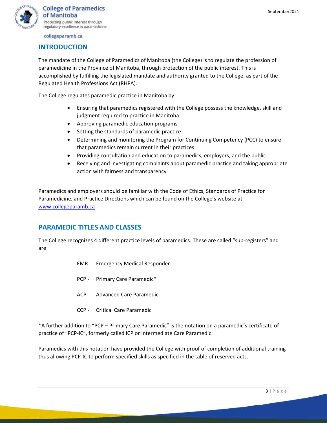

## **INTRODUCTION**

The mandate of the College of Paramedics of Manitoba (the College) is to regulate the profession of paramedicine in the Province of Manitoba, through protection of the public interest. This is accomplished by fulfilling the legislated mandate and authority granted to the College, as part of the Regulated Health Professions Act (RHPA).

The College regulates paramedic practice in Manitoba by:

- Ensuring that paramedics registered with the College possess the knowledge, skill and judgment required to practice in Manitoba
- Approving paramedic education programs
- Setting the standards of paramedic practice
- Determining and monitoring the Program for Continuing Competency (PCC) to ensure that paramedics remain current in their practices
- Providing consultation and education to paramedics, employers, and the public
- Receiving and investigating complaints about paramedic practice and taking appropriate action with fairness and transparency

Paramedics and employers should be familiar with the Code of Ethics, Standards of Practice for Paramedicine, and Practice Directions which can be found on the College's website at [www.collegeparamb.ca](http://www.collegeparamb.ca/)

# **PARAMEDIC TITLES AND CLASSES**

The College recognizes 4 different practice levels of paramedics. These are called "sub-registers" and are:

- EMR Emergency Medical Responder
- PCP Primary Care Paramedic\*
- ACP Advanced Care Paramedic
- CCP Critical Care Paramedic

\*A further addition to "PCP – Primary Care Paramedic" is the notation on a paramedic's certificate of practice of "PCP-IC", formerly called ICP or Intermediate Care Paramedic.

Paramedics with this notation have provided the College with proof of completion of additional training thus allowing PCP-IC to perform specified skills as specified in the table of reserved acts.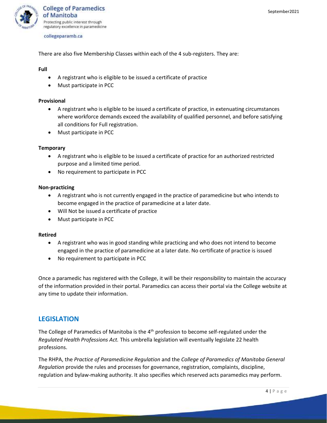

There are also five Membership Classes within each of the 4 sub-registers. They are:

**Full**

- A registrant who is eligible to be issued a certificate of practice
- Must participate in PCC

#### **Provisional**

- A registrant who is eligible to be issued a certificate of practice, in extenuating circumstances where workforce demands exceed the availability of qualified personnel, and before satisfying all conditions for Full registration.
- Must participate in PCC

#### **Temporary**

- A registrant who is eligible to be issued a certificate of practice for an authorized restricted purpose and a limited time period.
- No requirement to participate in PCC

#### **Non-practicing**

- A registrant who is not currently engaged in the practice of paramedicine but who intends to become engaged in the practice of paramedicine at a later date.
- Will Not be issued a certificate of practice
- Must participate in PCC

#### **Retired**

- A registrant who was in good standing while practicing and who does not intend to become engaged in the practice of paramedicine at a later date. No certificate of practice is issued
- No requirement to participate in PCC

Once a paramedic has registered with the College, it will be their responsibility to maintain the accuracy of the information provided in their portal. Paramedics can access their portal via the College website at any time to update their information.

## **LEGISLATION**

The College of Paramedics of Manitoba is the  $4<sup>th</sup>$  profession to become self-regulated under the *Regulated Health Professions Act.* This umbrella legislation will eventually legislate 22 health professions.

The RHPA, the *Practice of Paramedicine Regulation* and the *College of Paramedics of Manitoba General Regulation* provide the rules and processes for governance, registration, complaints, discipline, regulation and bylaw-making authority. It also specifies which reserved acts paramedics may perform.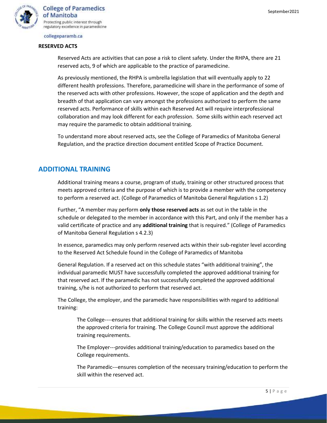

#### **RESERVED ACTS**

Reserved Acts are activities that can pose a risk to client safety. Under the RHPA, there are 21 reserved acts, 9 of which are applicable to the practice of paramedicine.

As previously mentioned, the RHPA is umbrella legislation that will eventually apply to 22 different health professions. Therefore, paramedicine will share in the performance of some of the reserved acts with other professions. However, the scope of application and the depth and breadth of that application can vary amongst the professions authorized to perform the same reserved acts. Performance of skills within each Reserved Act will require interprofessional collaboration and may look different for each profession. Some skills within each reserved act may require the paramedic to obtain additional training.

To understand more about reserved acts, see the College of Paramedics of Manitoba General Regulation, and the practice direction document entitled Scope of Practice Document.

## **ADDITIONAL TRAINING**

Additional training means a course, program of study, training or other structured process that meets approved criteria and the purpose of which is to provide a member with the competency to perform a reserved act. (College of Paramedics of Manitoba General Regulation s 1.2)

Further, "A member may perform **only those reserved acts** as set out in the table in the schedule or delegated to the member in accordance with this Part, and only if the member has a valid certificate of practice and any **additional training** that is required." (College of Paramedics of Manitoba General Regulation s 4.2.3)

In essence, paramedics may only perform reserved acts within their sub-register level according to the Reserved Act Schedule found in the College of Paramedics of Manitoba

General Regulation. If a reserved act on this schedule states "with additional training", the individual paramedic MUST have successfully completed the approved additional training for that reserved act. If the paramedic has not successfully completed the approved additional training, s/he is not authorized to perform that reserved act.

The College, the employer, and the paramedic have responsibilities with regard to additional training:

The College----ensures that additional training for skills within the reserved acts meets the approved criteria for training. The College Council must approve the additional training requirements.

The Employer---provides additional training/education to paramedics based on the College requirements.

The Paramedic---ensures completion of the necessary training/education to perform the skill within the reserved act.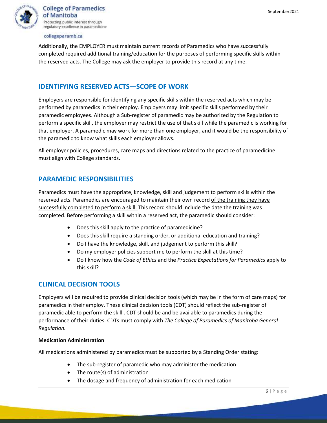

Additionally, the EMPLOYER must maintain current records of Paramedics who have successfully completed required additional training/education for the purposes of performing specific skills within the reserved acts. The College may ask the employer to provide this record at any time.

## **IDENTIFYING RESERVED ACTS—SCOPE OF WORK**

Employers are responsible for identifying any specific skills within the reserved acts which may be performed by paramedics in their employ. Employers may limit specific skills performed by their paramedic employees. Although a Sub-register of paramedic may be authorized by the Regulation to perform a specific skill, the employer may restrict the use of that skill while the paramedic is working for that employer. A paramedic may work for more than one employer, and it would be the responsibility of the paramedic to know what skills each employer allows.

All employer policies, procedures, care maps and directions related to the practice of paramedicine must align with College standards.

## **PARAMEDIC RESPONSIBILITIES**

Paramedics must have the appropriate, knowledge, skill and judgement to perform skills within the reserved acts. Paramedics are encouraged to maintain their own record of the training they have successfully completed to perform a skill. This record should include the date the training was completed. Before performing a skill within a reserved act, the paramedic should consider:

- Does this skill apply to the practice of paramedicine?
- Does this skill require a standing order, or additional education and training?
- Do I have the knowledge, skill, and judgement to perform this skill?
- Do my employer policies support me to perform the skill at this time?
- Do I know how the *Code of Ethics* and the *Practice Expectations for Paramedics* apply to this skill?

# **CLINICAL DECISION TOOLS**

Employers will be required to provide clinical decision tools (which may be in the form of care maps) for paramedics in their employ. These clinical decision tools (CDT) should reflect the sub-register of paramedic able to perform the skill . CDT should be and be available to paramedics during the performance of their duties. CDTs must comply with *The College of Paramedics of Manitoba General Regulation.*

#### **Medication Administration**

All medications administered by paramedics must be supported by a Standing Order stating:

- The sub-register of paramedic who may administer the medication
- The route(s) of administration
- The dosage and frequency of administration for each medication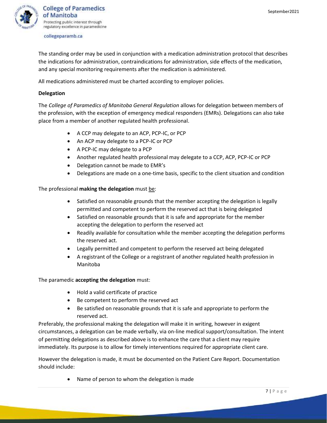

The standing order may be used in conjunction with a medication administration protocol that describes the indications for administration, contraindications for administration, side effects of the medication, and any special monitoring requirements after the medication is administered.

All medications administered must be charted according to employer policies.

## **Delegation**

The *College of Paramedics of Manitoba General Regulation* allows for delegation between members of the profession, with the exception of emergency medical responders (EMRs). Delegations can also take place from a member of another regulated health professional.

- A CCP may delegate to an ACP, PCP-IC, or PCP
- An ACP may delegate to a PCP-IC or PCP
- A PCP-IC may delegate to a PCP
- Another regulated health professional may delegate to a CCP, ACP, PCP-IC or PCP
- Delegation cannot be made to EMR's
- Delegations are made on a one-time basis, specific to the client situation and condition

## The professional **making the delegation** must be:

- Satisfied on reasonable grounds that the member accepting the delegation is legally permitted and competent to perform the reserved act that is being delegated
- Satisfied on reasonable grounds that it is safe and appropriate for the member accepting the delegation to perform the reserved act
- Readily available for consultation while the member accepting the delegation performs the reserved act.
- Legally permitted and competent to perform the reserved act being delegated
- A registrant of the College or a registrant of another regulated health profession in Manitoba

#### The paramedic **accepting the delegation** must:

- Hold a valid certificate of practice
- Be competent to perform the reserved act
- Be satisfied on reasonable grounds that it is safe and appropriate to perform the reserved act.

Preferably, the professional making the delegation will make it in writing, however in exigent circumstances, a delegation can be made verbally, via on-line medical support/consultation. The intent of permitting delegations as described above is to enhance the care that a client may require immediately. Its purpose is to allow for timely interventions required for appropriate client care.

However the delegation is made, it must be documented on the Patient Care Report. Documentation should include:

• Name of person to whom the delegation is made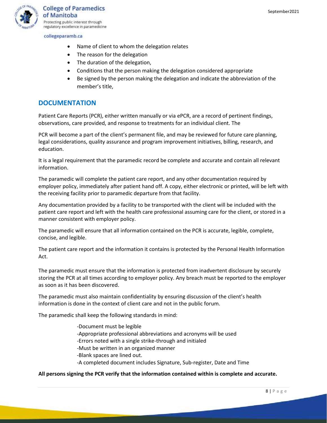

- Name of client to whom the delegation relates
- The reason for the delegation
- The duration of the delegation,
- Conditions that the person making the delegation considered appropriate
- Be signed by the person making the delegation and indicate the abbreviation of the member's title,

## **DOCUMENTATION**

Patient Care Reports (PCR), either written manually or via ePCR, are a record of pertinent findings, observations, care provided, and response to treatments for an individual client. The

PCR will become a part of the client's permanent file, and may be reviewed for future care planning, legal considerations, quality assurance and program improvement initiatives, billing, research, and education.

It is a legal requirement that the paramedic record be complete and accurate and contain all relevant information.

The paramedic will complete the patient care report, and any other documentation required by employer policy, immediately after patient hand off. A copy, either electronic or printed, will be left with the receiving facility prior to paramedic departure from that facility.

Any documentation provided by a facility to be transported with the client will be included with the patient care report and left with the health care professional assuming care for the client, or stored in a manner consistent with employer policy.

The paramedic will ensure that all information contained on the PCR is accurate, legible, complete, concise, and legible.

The patient care report and the information it contains is protected by the Personal Health Information Act.

The paramedic must ensure that the information is protected from inadvertent disclosure by securely storing the PCR at all times according to employer policy. Any breach must be reported to the employer as soon as it has been discovered.

The paramedic must also maintain confidentiality by ensuring discussion of the client's health information is done in the context of client care and not in the public forum.

The paramedic shall keep the following standards in mind:

-Document must be legible -Appropriate professional abbreviations and acronyms will be used -Errors noted with a single strike-through and initialed -Must be written in an organized manner -Blank spaces are lined out. -A completed document includes Signature, Sub-register, Date and Time

### **All persons signing the PCR verify that the information contained within is complete and accurate.**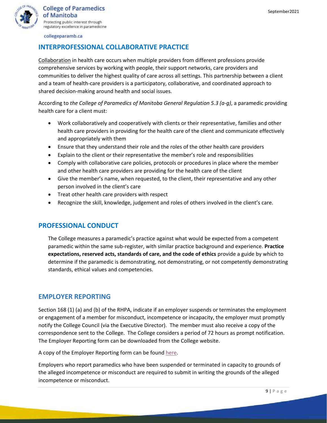

# **INTERPROFESSIONAL COLLABORATIVE PRACTICE**

Collaboration in health care occurs when multiple providers from different professions provide comprehensive services by working with people, their support networks, care providers and communities to deliver the highest quality of care across all settings. This partnership between a client and a team of health-care providers is a participatory, collaborative, and coordinated approach to shared decision-making around health and social issues.

According to *the College of Paramedics of Manitoba General Regulation 5.3 (a-g)*, a paramedic providing health care for a client must:

- Work collaboratively and cooperatively with clients or their representative, families and other health care providers in providing for the health care of the client and communicate effectively and appropriately with them
- Ensure that they understand their role and the roles of the other health care providers
- Explain to the client or their representative the member's role and responsibilities
- Comply with collaborative care policies, protocols or procedures in place where the member and other health care providers are providing for the health care of the client
- Give the member's name, when requested, to the client, their representative and any other person involved in the client's care
- Treat other health care providers with respect
- Recognize the skill, knowledge, judgement and roles of others involved in the client's care.

# **PROFESSIONAL CONDUCT**

The College measures a paramedic's practice against what would be expected from a competent paramedic within the same sub-register, with similar practice background and experience. **Practice expectations, reserved acts, standards of care, and the code of ethics** provide a guide by which to determine if the paramedic is demonstrating, not demonstrating, or not competently demonstrating standards, ethical values and competencies.

# **EMPLOYER REPORTING**

Section 168 (1) (a) and (b) of the RHPA, indicate if an employer suspends or terminates the employment or engagement of a member for misconduct, incompetence or incapacity, the employer must promptly notify the College Council (via the Executive Director). The member must also receive a copy of the correspondence sent to the College. The College considers a period of 72 hours as prompt notification. The Employer Reporting form can be downloaded from the College website.

A copy of the Employer Reporting form can be found [here.](https://collegeparamb.ca/wp-content/uploads/2022/01/Employer-Report-Form-01.22.docx)

Employers who report paramedics who have been suspended or terminated in capacity to grounds of the alleged incompetence or misconduct are required to submit in writing the grounds of the alleged incompetence or misconduct.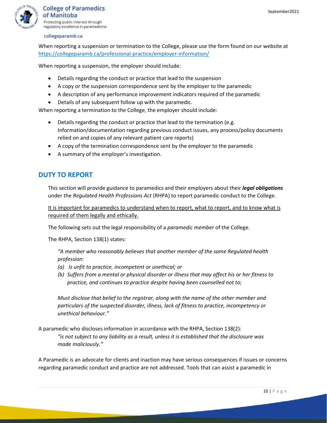

When reporting a suspension or termination to the College, please use the form found on our website at <https://collegeparamb.ca/professional-practice/employer-information/>

When reporting a suspension, the employer should include:

- Details regarding the conduct or practice that lead to the suspension
- A copy or the suspension correspondence sent by the employer to the paramedic
- A description of any performance improvement indicators required of the paramedic
- Details of any subsequent follow up with the paramedic.

When reporting a termination to the College, the employer should include:

- Details regarding the conduct or practice that lead to the termination (e.g. Information/documentation regarding previous conduct issues, any process/policy documents relied on and copies of any relevant patient care reports)
- A copy of the termination correspondence sent by the employer to the paramedic
- A summary of the employer's investigation.

# **DUTY TO REPORT**

This section will provide guidance to paramedics and their employers about their *legal obligations* under the *Regulated Health Professions Act* (RHPA) to report paramedic conduct to the College.

It is important for paramedics to understand when to report, what to report, and to know what is required of them legally and ethically.

The following sets out the legal responsibility of a *paramedic member* of the College.

The RHPA, Section 138(1) states:

*"A member who reasonably believes that another member of the same Regulated health profession:*

- *(a) Is unfit to practice, incompetent or unethical; or*
- *(b) Suffers from a mental or physical disorder or illness that may affect his or her fitness to practice, and continues to practice despite having been counselled not to;*

*Must disclose that belief to the registrar, along with the name of the other member and particulars of the suspected disorder, illness, lack of fitness to practice, incompetency or unethical behaviour."*

A paramedic who discloses information in accordance with the RHPA, Section 138(2): *"is not subject to any liability as a result, unless it is established that the disclosure was made maliciously."*

A Paramedic is an advocate for clients and inaction may have serious consequences if issues or concerns regarding paramedic conduct and practice are not addressed. Tools that can assist a paramedic in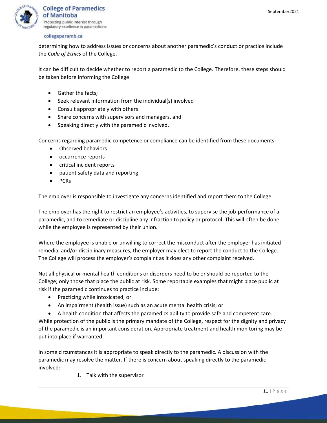

determining how to address issues or concerns about another paramedic's conduct or practice include the *Code of Ethics* of the College.

It can be difficult to decide whether to report a paramedic to the College. Therefore, these steps should be taken before informing the College:

- Gather the facts;
- Seek relevant information from the individual(s) involved
- Consult appropriately with others
- Share concerns with supervisors and managers, and
- Speaking directly with the paramedic involved.

Concerns regarding paramedic competence or compliance can be identified from these documents:

- Observed behaviors
- occurrence reports
- critical incident reports
- patient safety data and reporting
- PCRs

The employer is responsible to investigate any concerns identified and report them to the College.

The employer has the right to restrict an employee's activities, to supervise the job-performance of a paramedic, and to remediate or discipline any infraction to policy or protocol. This will often be done while the employee is represented by their union.

Where the employee is unable or unwilling to correct the misconduct after the employer has initiated remedial and/or disciplinary measures, the employer may elect to report the conduct to the College. The College will process the employer's complaint as it does any other complaint received.

Not all physical or mental health conditions or disorders need to be or should be reported to the College; only those that place the public at risk. Some reportable examples that might place public at risk if the paramedic continues to practice include:

- Practicing while intoxicated; or
- An impairment (health issue) such as an acute mental health crisis; or

• A health condition that affects the paramedics ability to provide safe and competent care. While protection of the public is the primary mandate of the College, respect for the dignity and privacy of the paramedic is an important consideration. Appropriate treatment and health monitoring may be put into place if warranted.

In some circumstances it is appropriate to speak directly to the paramedic. A discussion with the paramedic may resolve the matter. If there is concern about speaking directly to the paramedic involved:

1. Talk with the supervisor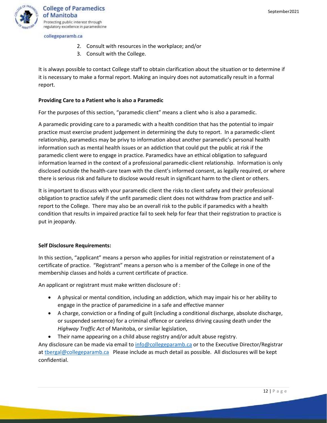

- 2. Consult with resources in the workplace; and/or
- 3. Consult with the College.

It is always possible to contact College staff to obtain clarification about the situation or to determine if it is necessary to make a formal report. Making an inquiry does not automatically result in a formal report.

## **Providing Care to a Patient who is also a Paramedic**

For the purposes of this section, "paramedic client" means a client who is also a paramedic.

A paramedic providing care to a paramedic with a health condition that has the potential to impair practice must exercise prudent judgement in determining the duty to report. In a paramedic-client relationship, paramedics may be privy to information about another paramedic's personal health information such as mental health issues or an addiction that could put the public at risk if the paramedic client were to engage in practice. Paramedics have an ethical obligation to safeguard information learned in the context of a professional paramedic-client relationship. Information is only disclosed outside the health-care team with the client's informed consent, as legally required, or where there is serious risk and failure to disclose would result in significant harm to the client or others.

It is important to discuss with your paramedic client the risks to client safety and their professional obligation to practice safely if the unfit paramedic client does not withdraw from practice and selfreport to the College. There may also be an overall risk to the public if paramedics with a health condition that results in impaired practice fail to seek help for fear that their registration to practice is put in jeopardy.

## **Self Disclosure Requirements:**

In this section, "applicant" means a person who applies for initial registration or reinstatement of a certificate of practice. "Registrant" means a person who is a member of the College in one of the membership classes and holds a current certificate of practice.

An applicant or registrant must make written disclosure of :

- A physical or mental condition, including an addiction, which may impair his or her ability to engage in the practice of paramedicine in a safe and effective manner
- A charge, conviction or a finding of guilt (including a conditional discharge, absolute discharge, or suspended sentence) for a criminal offence or careless driving causing death under the *Highway Traffic Act* of Manitoba, or similar legislation,
- Their name appearing on a child abuse registry and/or adult abuse registry.

Any disclosure can be made via email to [info@collegeparamb.ca](mailto:info@collegeparamb.ca) or to the Executive Director/Registrar at thergal@collegeparamb.ca Please include as much detail as possible. All disclosures will be kept confidential.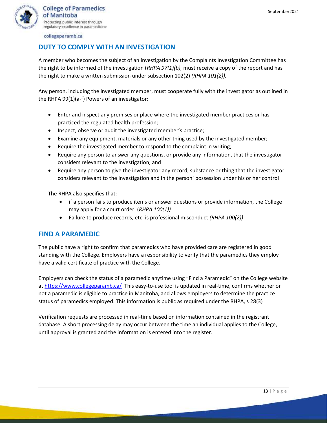

# **DUTY TO COMPLY WITH AN INVESTIGATION**

A member who becomes the subject of an investigation by the Complaints Investigation Committee has the right to be informed of the investigation (*RHPA 97(1)(b),* must receive a copy of the report and has the right to make a written submission under subsection 102(2) *(RHPA 101(2)).*

Any person, including the investigated member, must cooperate fully with the investigator as outlined in the RHPA 99(1)(a-f) Powers of an investigator:

- Enter and inspect any premises or place where the investigated member practices or has practiced the regulated health profession;
- Inspect, observe or audit the investigated member's practice;
- Examine any equipment, materials or any other thing used by the investigated member;
- Require the investigated member to respond to the complaint in writing;
- Require any person to answer any questions, or provide any information, that the investigator considers relevant to the investigation; and
- Require any person to give the investigator any record, substance or thing that the investigator considers relevant to the investigation and in the person' possession under his or her control

The RHPA also specifies that:

- if a person fails to produce items or answer questions or provide information, the College may apply for a court order. (*RHPA 100(1))*
- Failure to produce records, etc. is professional misconduct *(RHPA 100(2))*

# **FIND A PARAMEDIC**

The public have a right to confirm that paramedics who have provided care are registered in good standing with the College. Employers have a responsibility to verify that the paramedics they employ have a valid certificate of practice with the College.

Employers can check the status of a paramedic anytime using "Find a Paramedic" on the College website a[t https://www.collegeparamb.ca/](https://www.collegeparamb.ca/) This easy-to-use tool is updated in real-time, confirms whether or not a paramedic is eligible to practice in Manitoba, and allows employers to determine the practice status of paramedics employed. This information is public as required under the RHPA, s 28(3)

Verification requests are processed in real-time based on information contained in the registrant database. A short processing delay may occur between the time an individual applies to the College, until approval is granted and the information is entered into the register.